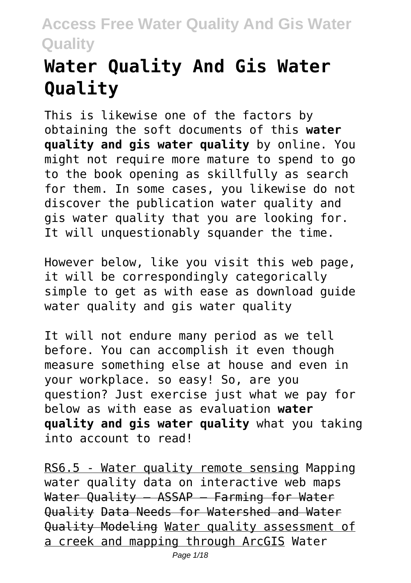# **Water Quality And Gis Water Quality**

This is likewise one of the factors by obtaining the soft documents of this **water quality and gis water quality** by online. You might not require more mature to spend to go to the book opening as skillfully as search for them. In some cases, you likewise do not discover the publication water quality and gis water quality that you are looking for. It will unquestionably squander the time.

However below, like you visit this web page, it will be correspondingly categorically simple to get as with ease as download guide water quality and gis water quality

It will not endure many period as we tell before. You can accomplish it even though measure something else at house and even in your workplace. so easy! So, are you question? Just exercise just what we pay for below as with ease as evaluation **water quality and gis water quality** what you taking into account to read!

RS6.5 - Water quality remote sensing Mapping water quality data on interactive web maps Water Quality – ASSAP – Farming for Water Quality Data Needs for Watershed and Water Quality Modeling Water quality assessment of a creek and mapping through ArcGIS Water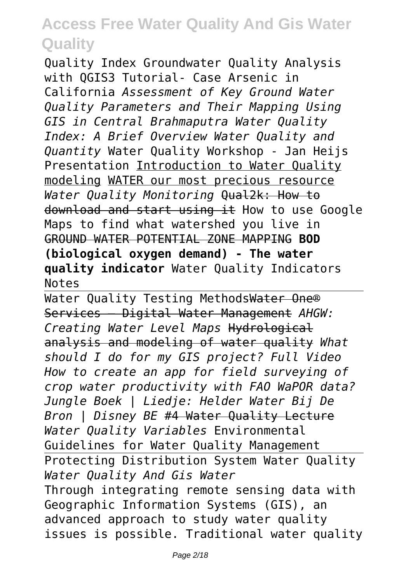Quality Index Groundwater Quality Analysis with OGIS3 Tutorial- Case Arsenic in California *Assessment of Key Ground Water Quality Parameters and Their Mapping Using GIS in Central Brahmaputra Water Quality Index: A Brief Overview Water Quality and Quantity* Water Quality Workshop - Jan Heijs Presentation Introduction to Water Quality modeling WATER our most precious resource *Water Quality Monitoring* Qual2k: How to download and start using it How to use Google Maps to find what watershed you live in GROUND WATER POTENTIAL ZONE MAPPING **BOD (biological oxygen demand) - The water quality indicator** Water Quality Indicators Notes

Water Quality Testing MethodsWater One® Services – Digital Water Management *AHGW: Creating Water Level Maps* Hydrological analysis and modeling of water quality *What should I do for my GIS project? Full Video How to create an app for field surveying of crop water productivity with FAO WaPOR data? Jungle Boek | Liedje: Helder Water Bij De Bron | Disney BE* #4 Water Quality Lecture *Water Quality Variables* Environmental Guidelines for Water Quality Management Protecting Distribution System Water Quality *Water Quality And Gis Water* Through integrating remote sensing data with Geographic Information Systems (GIS), an advanced approach to study water quality issues is possible. Traditional water quality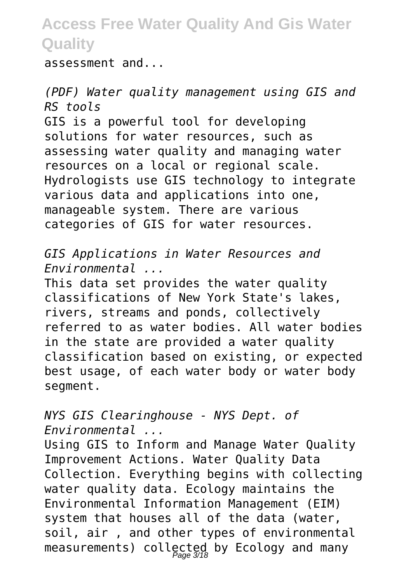assessment and...

*(PDF) Water quality management using GIS and RS tools* GIS is a powerful tool for developing solutions for water resources, such as assessing water quality and managing water resources on a local or regional scale. Hydrologists use GIS technology to integrate various data and applications into one, manageable system. There are various categories of GIS for water resources.

*GIS Applications in Water Resources and Environmental ...*

This data set provides the water quality classifications of New York State's lakes, rivers, streams and ponds, collectively referred to as water bodies. All water bodies in the state are provided a water quality classification based on existing, or expected best usage, of each water body or water body segment.

#### *NYS GIS Clearinghouse - NYS Dept. of Environmental ...*

Using GIS to Inform and Manage Water Quality Improvement Actions. Water Quality Data Collection. Everything begins with collecting water quality data. Ecology maintains the Environmental Information Management (EIM) system that houses all of the data (water, soil, air , and other types of environmental measurements) collected by Ecology and many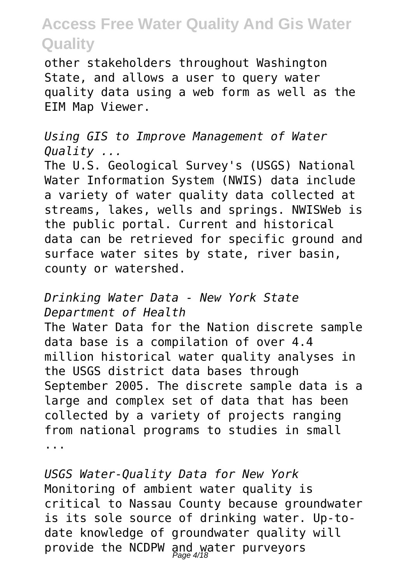other stakeholders throughout Washington State, and allows a user to query water quality data using a web form as well as the EIM Map Viewer.

*Using GIS to Improve Management of Water Quality ...*

The U.S. Geological Survey's (USGS) National Water Information System (NWIS) data include a variety of water quality data collected at streams, lakes, wells and springs. NWISWeb is the public portal. Current and historical data can be retrieved for specific ground and surface water sites by state, river basin, county or watershed.

#### *Drinking Water Data - New York State Department of Health*

The Water Data for the Nation discrete sample data base is a compilation of over 4.4 million historical water quality analyses in the USGS district data bases through September 2005. The discrete sample data is a large and complex set of data that has been collected by a variety of projects ranging from national programs to studies in small ...

*USGS Water-Quality Data for New York* Monitoring of ambient water quality is critical to Nassau County because groundwater is its sole source of drinking water. Up-todate knowledge of groundwater quality will provide the NCDPW and water purveyors Page 4/18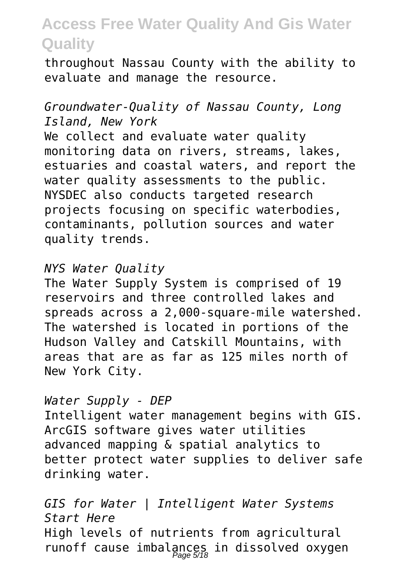throughout Nassau County with the ability to evaluate and manage the resource.

#### *Groundwater-Quality of Nassau County, Long Island, New York*

We collect and evaluate water quality monitoring data on rivers, streams, lakes, estuaries and coastal waters, and report the water quality assessments to the public. NYSDEC also conducts targeted research projects focusing on specific waterbodies, contaminants, pollution sources and water quality trends.

#### *NYS Water Quality*

The Water Supply System is comprised of 19 reservoirs and three controlled lakes and spreads across a 2,000-square-mile watershed. The watershed is located in portions of the Hudson Valley and Catskill Mountains, with areas that are as far as 125 miles north of New York City.

#### *Water Supply - DEP*

Intelligent water management begins with GIS. ArcGIS software gives water utilities advanced mapping & spatial analytics to better protect water supplies to deliver safe drinking water.

*GIS for Water | Intelligent Water Systems Start Here* High levels of nutrients from agricultural runoff cause imbalances in dissolved oxygen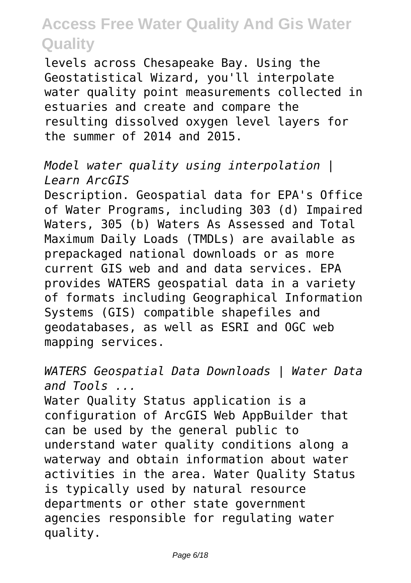levels across Chesapeake Bay. Using the Geostatistical Wizard, you'll interpolate water quality point measurements collected in estuaries and create and compare the resulting dissolved oxygen level layers for the summer of 2014 and 2015.

#### *Model water quality using interpolation | Learn ArcGIS*

Description. Geospatial data for EPA's Office of Water Programs, including 303 (d) Impaired Waters, 305 (b) Waters As Assessed and Total Maximum Daily Loads (TMDLs) are available as prepackaged national downloads or as more current GIS web and and data services. EPA provides WATERS geospatial data in a variety of formats including Geographical Information Systems (GIS) compatible shapefiles and geodatabases, as well as ESRI and OGC web mapping services.

*WATERS Geospatial Data Downloads | Water Data and Tools ...* Water Quality Status application is a configuration of ArcGIS Web AppBuilder that can be used by the general public to understand water quality conditions along a waterway and obtain information about water activities in the area. Water Quality Status is typically used by natural resource departments or other state government agencies responsible for regulating water quality.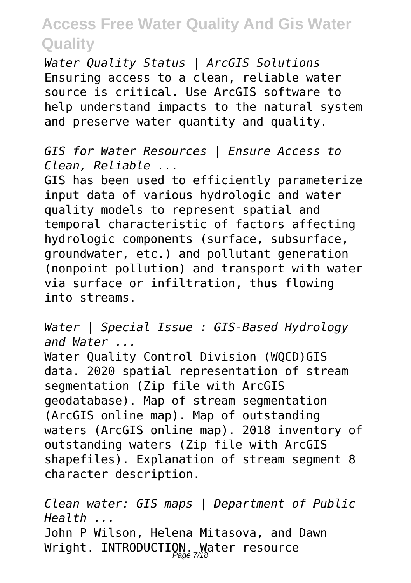*Water Quality Status | ArcGIS Solutions* Ensuring access to a clean, reliable water source is critical. Use ArcGIS software to help understand impacts to the natural system and preserve water quantity and quality.

*GIS for Water Resources | Ensure Access to Clean, Reliable ...*

GIS has been used to efficiently parameterize input data of various hydrologic and water quality models to represent spatial and temporal characteristic of factors affecting hydrologic components (surface, subsurface, groundwater, etc.) and pollutant generation (nonpoint pollution) and transport with water via surface or infiltration, thus flowing into streams.

*Water | Special Issue : GIS-Based Hydrology and Water ...* Water Quality Control Division (WOCD)GIS data. 2020 spatial representation of stream segmentation (Zip file with ArcGIS geodatabase). Map of stream segmentation (ArcGIS online map). Map of outstanding waters (ArcGIS online map). 2018 inventory of outstanding waters (Zip file with ArcGIS shapefiles). Explanation of stream segment 8 character description.

*Clean water: GIS maps | Department of Public Health ...* John P Wilson, Helena Mitasova, and Dawn Wright. INTRODUCTION. Water resource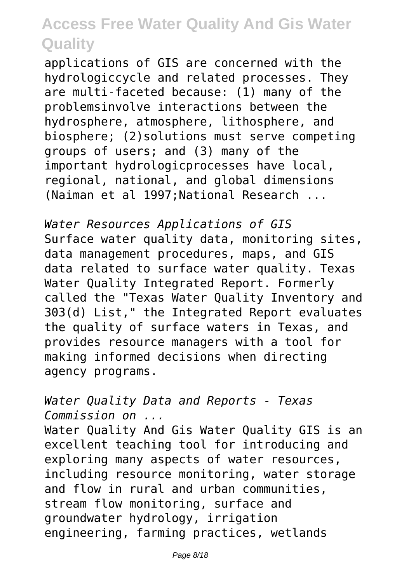applications of GIS are concerned with the hydrologiccycle and related processes. They are multi-faceted because: (1) many of the problemsinvolve interactions between the hydrosphere, atmosphere, lithosphere, and biosphere; (2)solutions must serve competing groups of users; and (3) many of the important hydrologicprocesses have local, regional, national, and global dimensions (Naiman et al 1997;National Research ...

*Water Resources Applications of GIS* Surface water quality data, monitoring sites, data management procedures, maps, and GIS data related to surface water quality. Texas Water Quality Integrated Report. Formerly called the "Texas Water Quality Inventory and 303(d) List," the Integrated Report evaluates the quality of surface waters in Texas, and provides resource managers with a tool for making informed decisions when directing agency programs.

*Water Quality Data and Reports - Texas Commission on ...*

Water Quality And Gis Water Quality GIS is an excellent teaching tool for introducing and exploring many aspects of water resources, including resource monitoring, water storage and flow in rural and urban communities, stream flow monitoring, surface and groundwater hydrology, irrigation engineering, farming practices, wetlands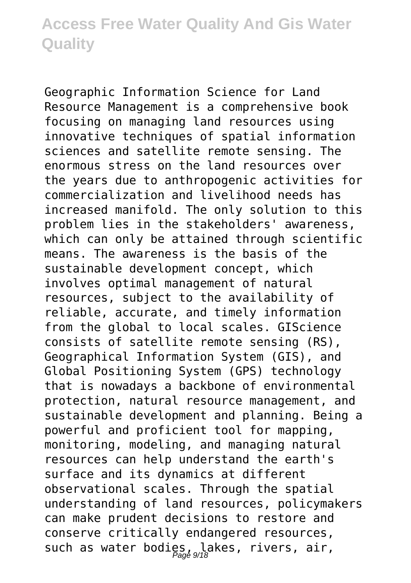Geographic Information Science for Land Resource Management is a comprehensive book focusing on managing land resources using innovative techniques of spatial information sciences and satellite remote sensing. The enormous stress on the land resources over the years due to anthropogenic activities for commercialization and livelihood needs has increased manifold. The only solution to this problem lies in the stakeholders' awareness, which can only be attained through scientific means. The awareness is the basis of the sustainable development concept, which involves optimal management of natural resources, subject to the availability of reliable, accurate, and timely information from the global to local scales. GIScience consists of satellite remote sensing (RS), Geographical Information System (GIS), and Global Positioning System (GPS) technology that is nowadays a backbone of environmental protection, natural resource management, and sustainable development and planning. Being a powerful and proficient tool for mapping, monitoring, modeling, and managing natural resources can help understand the earth's surface and its dynamics at different observational scales. Through the spatial understanding of land resources, policymakers can make prudent decisions to restore and conserve critically endangered resources, such as water bodies, lakes, rivers, air,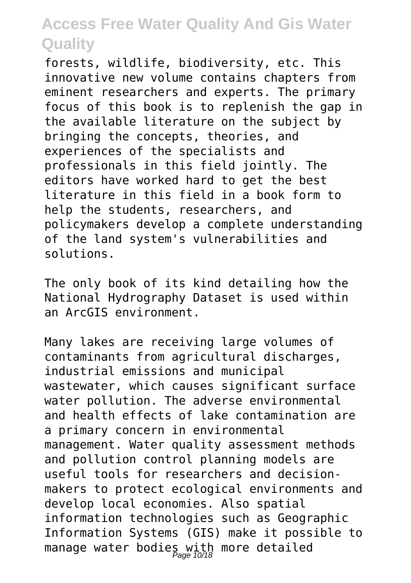forests, wildlife, biodiversity, etc. This innovative new volume contains chapters from eminent researchers and experts. The primary focus of this book is to replenish the gap in the available literature on the subject by bringing the concepts, theories, and experiences of the specialists and professionals in this field jointly. The editors have worked hard to get the best literature in this field in a book form to help the students, researchers, and policymakers develop a complete understanding of the land system's vulnerabilities and solutions.

The only book of its kind detailing how the National Hydrography Dataset is used within an ArcGIS environment.

Many lakes are receiving large volumes of contaminants from agricultural discharges, industrial emissions and municipal wastewater, which causes significant surface water pollution. The adverse environmental and health effects of lake contamination are a primary concern in environmental management. Water quality assessment methods and pollution control planning models are useful tools for researchers and decisionmakers to protect ecological environments and develop local economies. Also spatial information technologies such as Geographic Information Systems (GIS) make it possible to manage water bodies with more detailed<br>Page 10/18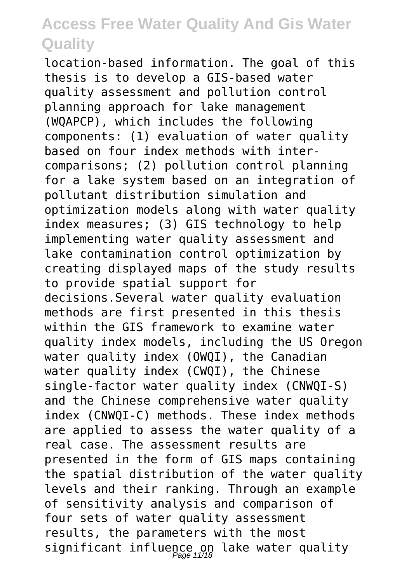location-based information. The goal of this thesis is to develop a GIS-based water quality assessment and pollution control planning approach for lake management (WQAPCP), which includes the following components: (1) evaluation of water quality based on four index methods with intercomparisons; (2) pollution control planning for a lake system based on an integration of pollutant distribution simulation and optimization models along with water quality index measures; (3) GIS technology to help implementing water quality assessment and lake contamination control optimization by creating displayed maps of the study results to provide spatial support for decisions.Several water quality evaluation methods are first presented in this thesis within the GIS framework to examine water quality index models, including the US Oregon water quality index (OWQI), the Canadian water quality index (CWQI), the Chinese single-factor water quality index (CNWQI-S) and the Chinese comprehensive water quality index (CNWQI-C) methods. These index methods are applied to assess the water quality of a real case. The assessment results are presented in the form of GIS maps containing the spatial distribution of the water quality levels and their ranking. Through an example of sensitivity analysis and comparison of four sets of water quality assessment results, the parameters with the most significant influence on lake water quality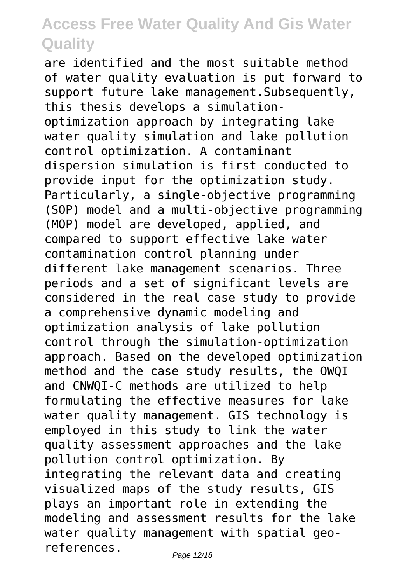are identified and the most suitable method of water quality evaluation is put forward to support future lake management.Subsequently, this thesis develops a simulationoptimization approach by integrating lake water quality simulation and lake pollution control optimization. A contaminant dispersion simulation is first conducted to provide input for the optimization study. Particularly, a single-objective programming (SOP) model and a multi-objective programming (MOP) model are developed, applied, and compared to support effective lake water contamination control planning under different lake management scenarios. Three periods and a set of significant levels are considered in the real case study to provide a comprehensive dynamic modeling and optimization analysis of lake pollution control through the simulation-optimization approach. Based on the developed optimization method and the case study results, the OWQI and CNWQI-C methods are utilized to help formulating the effective measures for lake water quality management. GIS technology is employed in this study to link the water quality assessment approaches and the lake pollution control optimization. By integrating the relevant data and creating visualized maps of the study results, GIS plays an important role in extending the modeling and assessment results for the lake water quality management with spatial georeferences.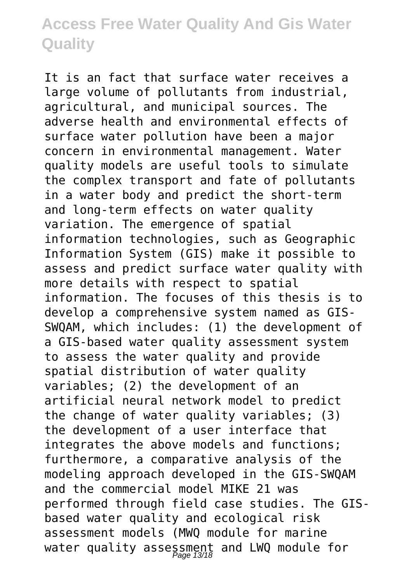It is an fact that surface water receives a large volume of pollutants from industrial, agricultural, and municipal sources. The adverse health and environmental effects of surface water pollution have been a major concern in environmental management. Water quality models are useful tools to simulate the complex transport and fate of pollutants in a water body and predict the short-term and long-term effects on water quality variation. The emergence of spatial information technologies, such as Geographic Information System (GIS) make it possible to assess and predict surface water quality with more details with respect to spatial information. The focuses of this thesis is to develop a comprehensive system named as GIS-SWQAM, which includes: (1) the development of a GIS-based water quality assessment system to assess the water quality and provide spatial distribution of water quality variables; (2) the development of an artificial neural network model to predict the change of water quality variables; (3) the development of a user interface that integrates the above models and functions; furthermore, a comparative analysis of the modeling approach developed in the GIS-SWQAM and the commercial model MIKE 21 was performed through field case studies. The GISbased water quality and ecological risk assessment models (MWQ module for marine water quality assessment and LWQ module for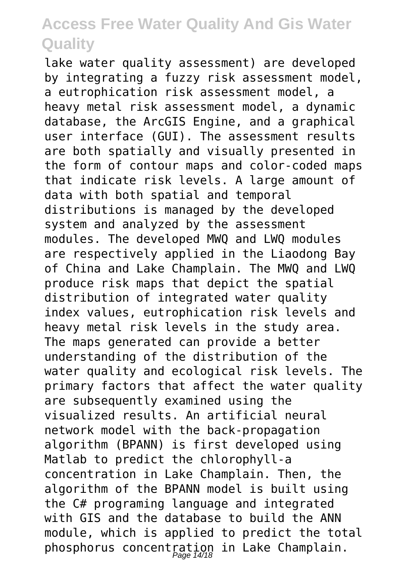lake water quality assessment) are developed by integrating a fuzzy risk assessment model, a eutrophication risk assessment model, a heavy metal risk assessment model, a dynamic database, the ArcGIS Engine, and a graphical user interface (GUI). The assessment results are both spatially and visually presented in the form of contour maps and color-coded maps that indicate risk levels. A large amount of data with both spatial and temporal distributions is managed by the developed system and analyzed by the assessment modules. The developed MWQ and LWQ modules are respectively applied in the Liaodong Bay of China and Lake Champlain. The MWQ and LWQ produce risk maps that depict the spatial distribution of integrated water quality index values, eutrophication risk levels and heavy metal risk levels in the study area. The maps generated can provide a better understanding of the distribution of the water quality and ecological risk levels. The primary factors that affect the water quality are subsequently examined using the visualized results. An artificial neural network model with the back-propagation algorithm (BPANN) is first developed using Matlab to predict the chlorophyll-a concentration in Lake Champlain. Then, the algorithm of the BPANN model is built using the C# programing language and integrated with GIS and the database to build the ANN module, which is applied to predict the total phosphorus concentration in Lake Champlain.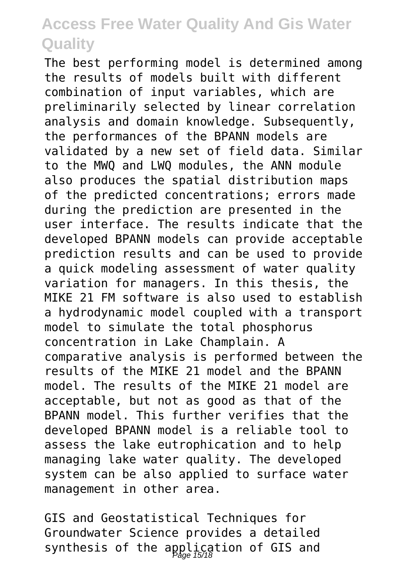The best performing model is determined among the results of models built with different combination of input variables, which are preliminarily selected by linear correlation analysis and domain knowledge. Subsequently, the performances of the BPANN models are validated by a new set of field data. Similar to the MWQ and LWQ modules, the ANN module also produces the spatial distribution maps of the predicted concentrations; errors made during the prediction are presented in the user interface. The results indicate that the developed BPANN models can provide acceptable prediction results and can be used to provide a quick modeling assessment of water quality variation for managers. In this thesis, the MIKE 21 FM software is also used to establish a hydrodynamic model coupled with a transport model to simulate the total phosphorus concentration in Lake Champlain. A comparative analysis is performed between the results of the MIKE 21 model and the BPANN model. The results of the MIKE 21 model are acceptable, but not as good as that of the BPANN model. This further verifies that the developed BPANN model is a reliable tool to assess the lake eutrophication and to help managing lake water quality. The developed system can be also applied to surface water management in other area.

GIS and Geostatistical Techniques for Groundwater Science provides a detailed synthesis of the application of GIS and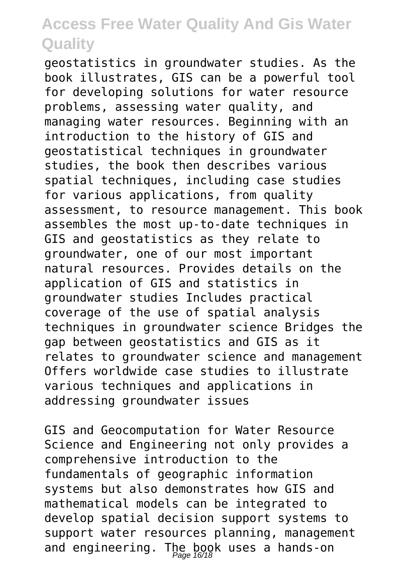geostatistics in groundwater studies. As the book illustrates, GIS can be a powerful tool for developing solutions for water resource problems, assessing water quality, and managing water resources. Beginning with an introduction to the history of GIS and geostatistical techniques in groundwater studies, the book then describes various spatial techniques, including case studies for various applications, from quality assessment, to resource management. This book assembles the most up-to-date techniques in GIS and geostatistics as they relate to groundwater, one of our most important natural resources. Provides details on the application of GIS and statistics in groundwater studies Includes practical coverage of the use of spatial analysis techniques in groundwater science Bridges the gap between geostatistics and GIS as it relates to groundwater science and management Offers worldwide case studies to illustrate various techniques and applications in addressing groundwater issues

GIS and Geocomputation for Water Resource Science and Engineering not only provides a comprehensive introduction to the fundamentals of geographic information systems but also demonstrates how GIS and mathematical models can be integrated to develop spatial decision support systems to support water resources planning, management and engineering. The book uses a hands-on<br>Page 16/18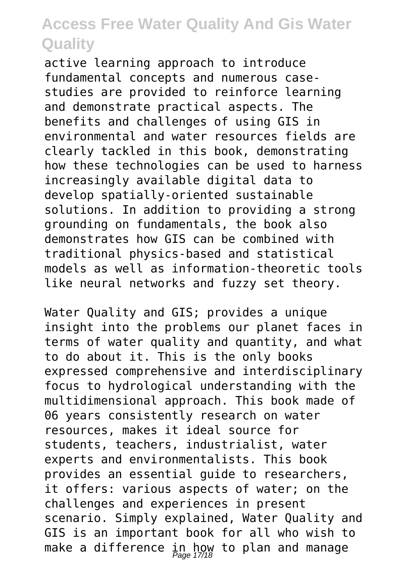active learning approach to introduce fundamental concepts and numerous casestudies are provided to reinforce learning and demonstrate practical aspects. The benefits and challenges of using GIS in environmental and water resources fields are clearly tackled in this book, demonstrating how these technologies can be used to harness increasingly available digital data to develop spatially-oriented sustainable solutions. In addition to providing a strong grounding on fundamentals, the book also demonstrates how GIS can be combined with traditional physics-based and statistical models as well as information-theoretic tools like neural networks and fuzzy set theory.

Water Quality and GIS; provides a unique insight into the problems our planet faces in terms of water quality and quantity, and what to do about it. This is the only books expressed comprehensive and interdisciplinary focus to hydrological understanding with the multidimensional approach. This book made of 06 years consistently research on water resources, makes it ideal source for students, teachers, industrialist, water experts and environmentalists. This book provides an essential guide to researchers, it offers: various aspects of water; on the challenges and experiences in present scenario. Simply explained, Water Quality and GIS is an important book for all who wish to make a difference in how to plan and manage